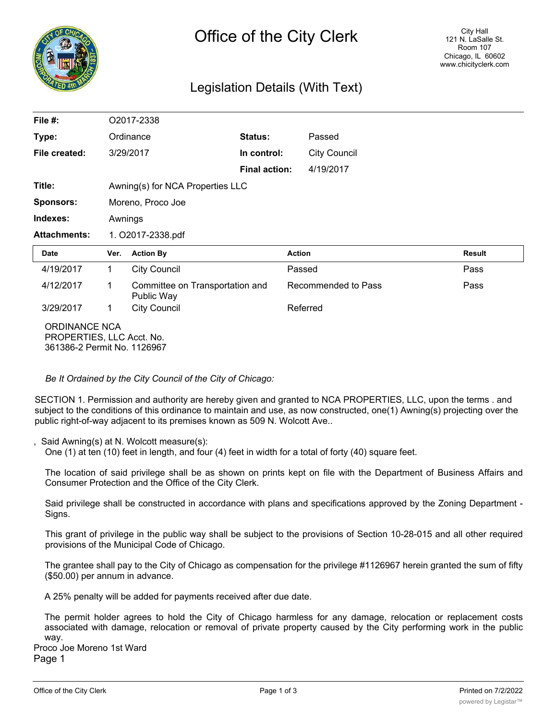

## Legislation Details (With Text)

| File $#$ :                                                                       | O2017-2338                       |                                               |                      |                     |                     |               |
|----------------------------------------------------------------------------------|----------------------------------|-----------------------------------------------|----------------------|---------------------|---------------------|---------------|
| Type:                                                                            |                                  | Ordinance                                     | Status:              |                     | Passed              |               |
| File created:                                                                    |                                  | 3/29/2017                                     | In control:          |                     | <b>City Council</b> |               |
|                                                                                  |                                  |                                               | <b>Final action:</b> |                     | 4/19/2017           |               |
| Title:                                                                           | Awning(s) for NCA Properties LLC |                                               |                      |                     |                     |               |
| <b>Sponsors:</b>                                                                 | Moreno, Proco Joe                |                                               |                      |                     |                     |               |
| Indexes:                                                                         | Awnings                          |                                               |                      |                     |                     |               |
| <b>Attachments:</b>                                                              | 1. O2017-2338.pdf                |                                               |                      |                     |                     |               |
| Date                                                                             | Ver.                             | <b>Action By</b>                              |                      | <b>Action</b>       |                     | <b>Result</b> |
| 4/19/2017                                                                        | $\mathbf 1$                      | <b>City Council</b>                           |                      | Passed              |                     | Pass          |
| 4/12/2017                                                                        | 1                                | Committee on Transportation and<br>Public Way |                      | Recommended to Pass |                     | Pass          |
| 3/29/2017                                                                        | $\mathbf 1$                      | <b>City Council</b>                           |                      | Referred            |                     |               |
| <b>ORDINANCE NCA</b><br>PROPERTIES, LLC Acct. No.<br>361386-2 Permit No. 1126967 |                                  |                                               |                      |                     |                     |               |

*Be It Ordained by the City Council of the City of Chicago:*

SECTION 1. Permission and authority are hereby given and granted to NCA PROPERTIES, LLC, upon the terms . and subject to the conditions of this ordinance to maintain and use, as now constructed, one(1) Awning(s) projecting over the public right-of-way adjacent to its premises known as 509 N. Wolcott Ave..

Said Awning(s) at N. Wolcott measure(s):

One (1) at ten (10) feet in length, and four (4) feet in width for a total of forty (40) square feet.

The location of said privilege shall be as shown on prints kept on file with the Department of Business Affairs and Consumer Protection and the Office of the City Clerk.

Said privilege shall be constructed in accordance with plans and specifications approved by the Zoning Department - Signs.

This grant of privilege in the public way shall be subject to the provisions of Section 10-28-015 and all other required provisions of the Municipal Code of Chicago.

The grantee shall pay to the City of Chicago as compensation for the privilege #1126967 herein granted the sum of fifty (\$50.00) per annum in advance.

A 25% penalty will be added for payments received after due date.

The permit holder agrees to hold the City of Chicago harmless for any damage, relocation or replacement costs associated with damage, relocation or removal of private property caused by the City performing work in the public way.

Proco Joe Moreno 1st Ward Page 1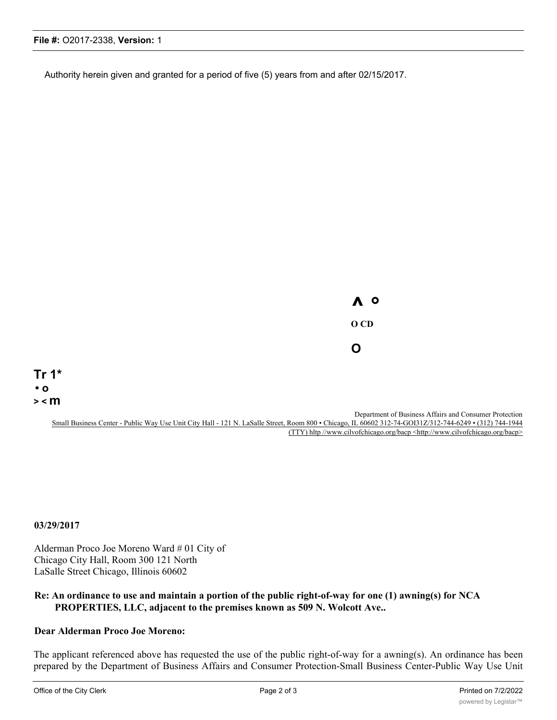Authority herein given and granted for a period of five (5) years from and after 02/15/2017.

**^ ° O CD O**

**Tr 1\* • o > < m**

> Department of Business Affairs and Consumer Protection Small Business Center - Public Way Use Unit City Hall - 121 N. LaSalle Street, Room 800 • Chicago, IL 60602 312-74-GOI31Z/312-744-6249 • (312) 744-1944 (TTY) hltp //www.cilvofchicago.org/bacp <http://www.cilvofchicago.org/bacp>

**03/29/2017**

Alderman Proco Joe Moreno Ward # 01 City of Chicago City Hall, Room 300 121 North LaSalle Street Chicago, Illinois 60602

## **Re: An ordinance to use and maintain a portion of the public right-of-way for one (1) awning(s) for NCA PROPERTIES, LLC, adjacent to the premises known as 509 N. Wolcott Ave..**

## **Dear Alderman Proco Joe Moreno:**

The applicant referenced above has requested the use of the public right-of-way for a awning(s). An ordinance has been prepared by the Department of Business Affairs and Consumer Protection-Small Business Center-Public Way Use Unit